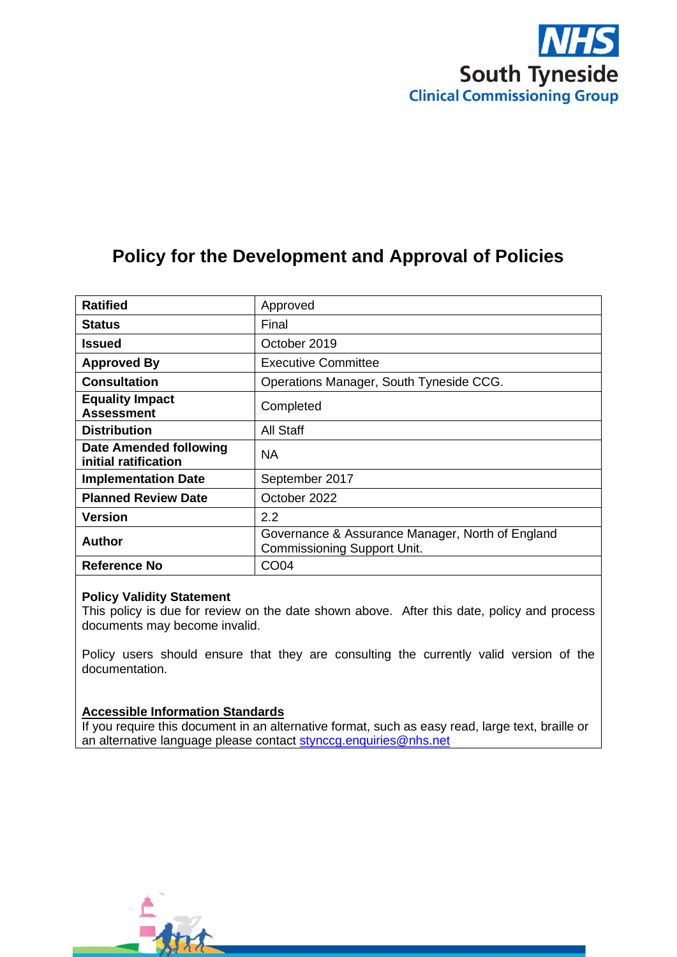

# **Policy for the Development and Approval of Policies**

| <b>Ratified</b>                                       | Approved                                                                               |
|-------------------------------------------------------|----------------------------------------------------------------------------------------|
| <b>Status</b>                                         | Final                                                                                  |
| Issued                                                | October 2019                                                                           |
| <b>Approved By</b>                                    | <b>Executive Committee</b>                                                             |
| <b>Consultation</b>                                   | Operations Manager, South Tyneside CCG.                                                |
| <b>Equality Impact</b><br><b>Assessment</b>           | Completed                                                                              |
| <b>Distribution</b>                                   | All Staff                                                                              |
| <b>Date Amended following</b><br>initial ratification | NA.                                                                                    |
| <b>Implementation Date</b>                            | September 2017                                                                         |
| <b>Planned Review Date</b>                            | October 2022                                                                           |
| <b>Version</b>                                        | $2.2\phantom{0}$                                                                       |
| <b>Author</b>                                         | Governance & Assurance Manager, North of England<br><b>Commissioning Support Unit.</b> |
| <b>Reference No</b>                                   | <b>CO04</b>                                                                            |

### **Policy Validity Statement**

This policy is due for review on the date shown above. After this date, policy and process documents may become invalid.

Policy users should ensure that they are consulting the currently valid version of the documentation.

### **Accessible Information Standards**

If you require this document in an alternative format, such as easy read, large text, braille or an alternative language please contact [stynccg.enquiries@nhs.net](mailto:stynccg.enquiries@nhs.net)

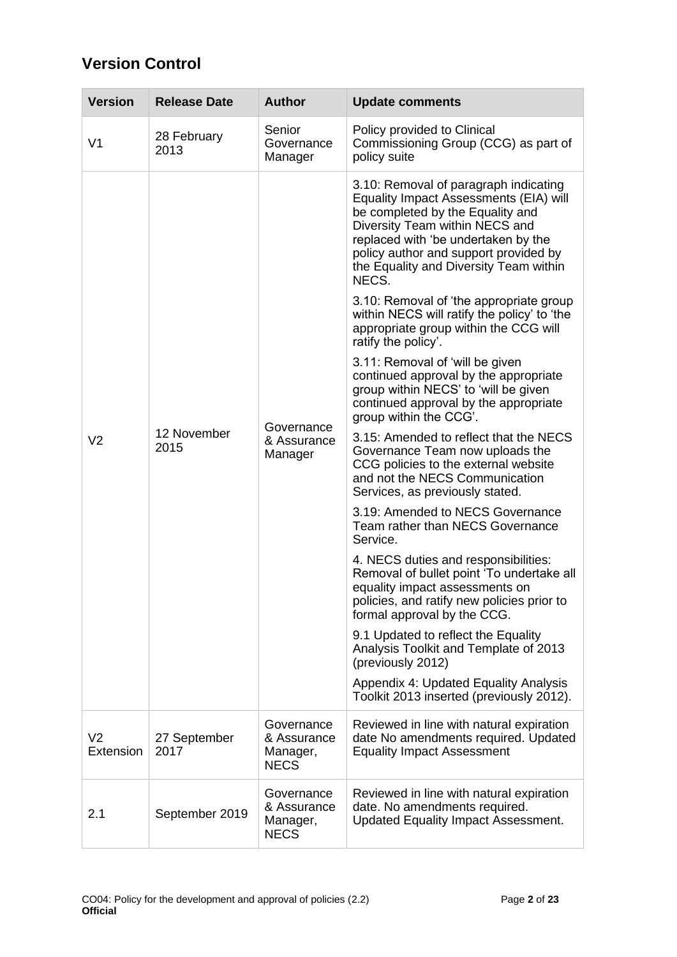# **Version Control**

| <b>Version</b>                        | <b>Release Date</b>  | <b>Author</b>                                                                                                                                                                       | <b>Update comments</b>                                                                                                                                                                                                                                                                   |
|---------------------------------------|----------------------|-------------------------------------------------------------------------------------------------------------------------------------------------------------------------------------|------------------------------------------------------------------------------------------------------------------------------------------------------------------------------------------------------------------------------------------------------------------------------------------|
| V <sub>1</sub>                        | 28 February<br>2013  | Senior<br>Governance<br>Manager                                                                                                                                                     | Policy provided to Clinical<br>Commissioning Group (CCG) as part of<br>policy suite                                                                                                                                                                                                      |
|                                       |                      |                                                                                                                                                                                     | 3.10: Removal of paragraph indicating<br>Equality Impact Assessments (EIA) will<br>be completed by the Equality and<br>Diversity Team within NECS and<br>replaced with 'be undertaken by the<br>policy author and support provided by<br>the Equality and Diversity Team within<br>NECS. |
|                                       |                      |                                                                                                                                                                                     | 3.10: Removal of 'the appropriate group<br>within NECS will ratify the policy' to 'the<br>appropriate group within the CCG will<br>ratify the policy'.                                                                                                                                   |
| 12 November<br>V <sub>2</sub><br>2015 |                      | 3.11: Removal of 'will be given<br>continued approval by the appropriate<br>group within NECS' to 'will be given<br>continued approval by the appropriate<br>group within the CCG'. |                                                                                                                                                                                                                                                                                          |
|                                       |                      | Governance<br>& Assurance<br>Manager                                                                                                                                                | 3.15: Amended to reflect that the NECS<br>Governance Team now uploads the<br>CCG policies to the external website<br>and not the NECS Communication<br>Services, as previously stated.                                                                                                   |
|                                       |                      |                                                                                                                                                                                     | 3.19: Amended to NECS Governance<br>Team rather than NECS Governance<br>Service.                                                                                                                                                                                                         |
|                                       |                      |                                                                                                                                                                                     | 4. NECS duties and responsibilities:<br>Removal of bullet point 'To undertake all<br>equality impact assessments on<br>policies, and ratify new policies prior to<br>formal approval by the CCG.                                                                                         |
|                                       |                      |                                                                                                                                                                                     | 9.1 Updated to reflect the Equality<br>Analysis Toolkit and Template of 2013<br>(previously 2012)                                                                                                                                                                                        |
|                                       |                      |                                                                                                                                                                                     | Appendix 4: Updated Equality Analysis<br>Toolkit 2013 inserted (previously 2012).                                                                                                                                                                                                        |
| V <sub>2</sub><br>Extension           | 27 September<br>2017 | Governance<br>& Assurance<br>Manager,<br><b>NECS</b>                                                                                                                                | Reviewed in line with natural expiration<br>date No amendments required. Updated<br><b>Equality Impact Assessment</b>                                                                                                                                                                    |
| 2.1                                   | September 2019       | Governance<br>& Assurance<br>Manager,<br><b>NECS</b>                                                                                                                                | Reviewed in line with natural expiration<br>date. No amendments required.<br><b>Updated Equality Impact Assessment.</b>                                                                                                                                                                  |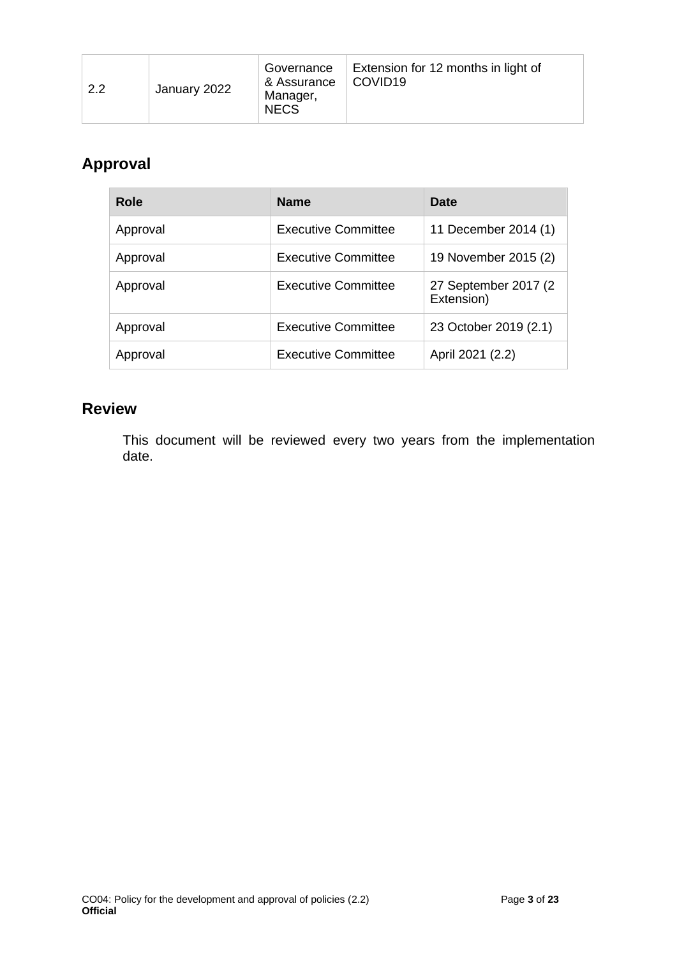| Governance<br>& Assurance<br>2.2<br>January 2022<br>Manager,<br><b>NECS</b> | Extension for 12 months in light of<br>COVID19 |
|-----------------------------------------------------------------------------|------------------------------------------------|
|-----------------------------------------------------------------------------|------------------------------------------------|

# **Approval**

| <b>Role</b> | <b>Name</b>                | <b>Date</b>                         |
|-------------|----------------------------|-------------------------------------|
| Approval    | <b>Executive Committee</b> | 11 December 2014 (1)                |
| Approval    | <b>Executive Committee</b> | 19 November 2015 (2)                |
| Approval    | <b>Executive Committee</b> | 27 September 2017 (2)<br>Extension) |
| Approval    | <b>Executive Committee</b> | 23 October 2019 (2.1)               |
| Approval    | <b>Executive Committee</b> | April 2021 (2.2)                    |

# **Review**

This document will be reviewed every two years from the implementation date.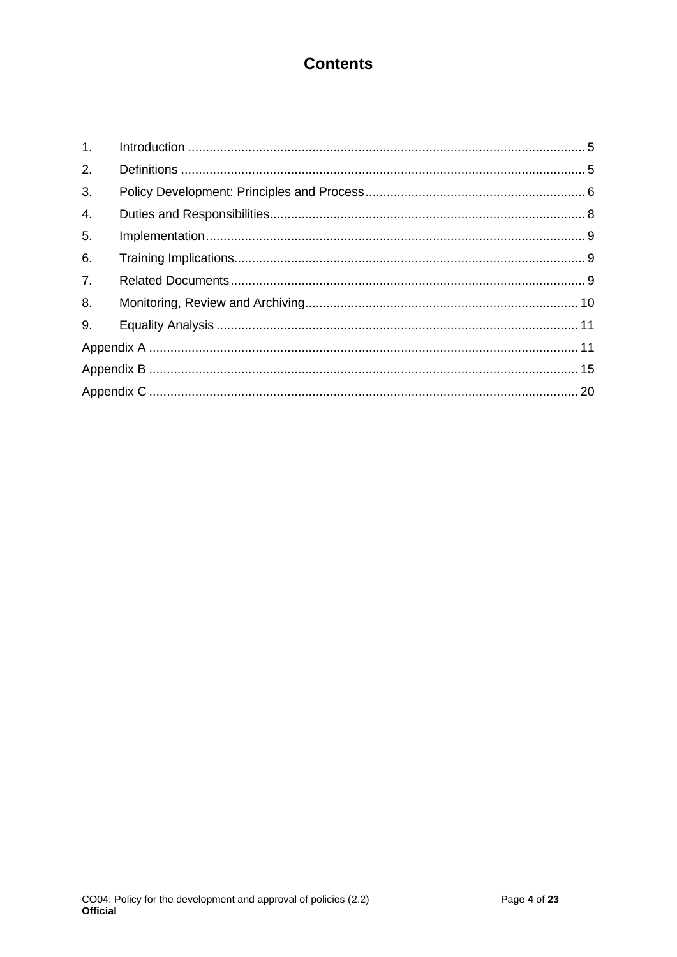# **Contents**

| 1.               |  |
|------------------|--|
| 2.               |  |
| 3.               |  |
| $\overline{4}$ . |  |
| 5.               |  |
| 6.               |  |
| 7 <sub>1</sub>   |  |
| 8.               |  |
| 9.               |  |
|                  |  |
|                  |  |
|                  |  |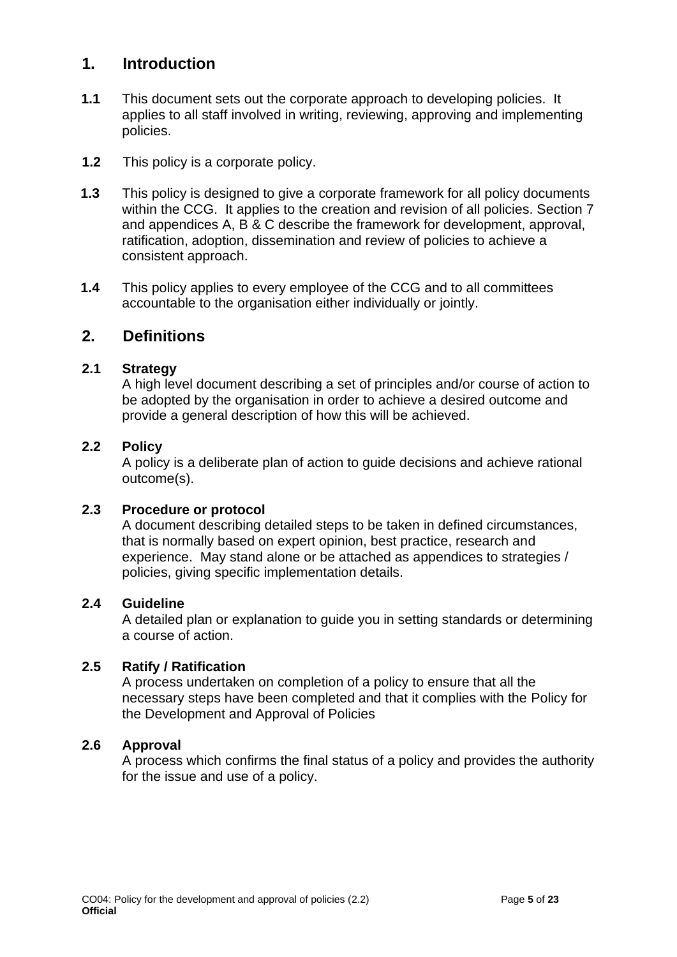## <span id="page-4-0"></span>**1. Introduction**

- **1.1** This document sets out the corporate approach to developing policies. It applies to all staff involved in writing, reviewing, approving and implementing policies.
- **1.2** This policy is a corporate policy.
- **1.3** This policy is designed to give a corporate framework for all policy documents within the CCG. It applies to the creation and revision of all policies. Section 7 and appendices A, B & C describe the framework for development, approval, ratification, adoption, dissemination and review of policies to achieve a consistent approach.
- **1.4** This policy applies to every employee of the CCG and to all committees accountable to the organisation either individually or jointly.

## <span id="page-4-1"></span>**2. Definitions**

### **2.1 Strategy**

A high level document describing a set of principles and/or course of action to be adopted by the organisation in order to achieve a desired outcome and provide a general description of how this will be achieved.

### **2.2 Policy**

A policy is a deliberate plan of action to guide decisions and achieve rational outcome(s).

### **2.3 Procedure or protocol**

A document describing detailed steps to be taken in defined circumstances, that is normally based on expert opinion, best practice, research and experience. May stand alone or be attached as appendices to strategies / policies, giving specific implementation details.

### **2.4 Guideline**

A detailed plan or explanation to guide you in setting standards or determining a course of action.

### **2.5 Ratify / Ratification**

A process undertaken on completion of a policy to ensure that all the necessary steps have been completed and that it complies with the Policy for the Development and Approval of Policies

### **2.6 Approval**

A process which confirms the final status of a policy and provides the authority for the issue and use of a policy.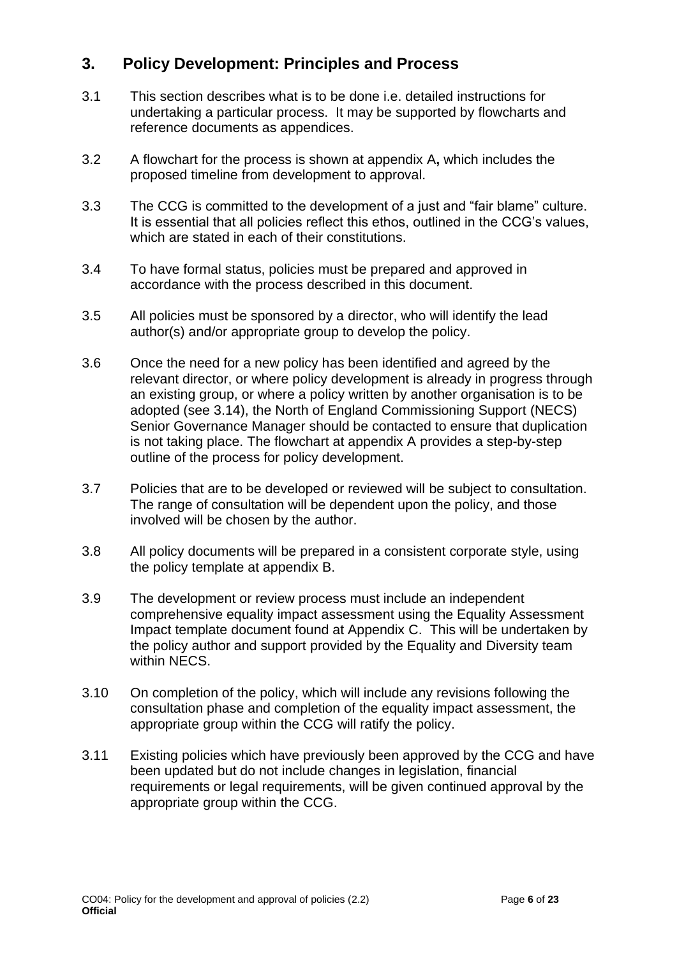# <span id="page-5-0"></span>**3. Policy Development: Principles and Process**

- 3.1 This section describes what is to be done i.e. detailed instructions for undertaking a particular process. It may be supported by flowcharts and reference documents as appendices.
- 3.2 A flowchart for the process is shown at appendix A**,** which includes the proposed timeline from development to approval.
- 3.3 The CCG is committed to the development of a just and "fair blame" culture. It is essential that all policies reflect this ethos, outlined in the CCG's values, which are stated in each of their constitutions.
- 3.4 To have formal status, policies must be prepared and approved in accordance with the process described in this document.
- 3.5 All policies must be sponsored by a director, who will identify the lead author(s) and/or appropriate group to develop the policy.
- 3.6 Once the need for a new policy has been identified and agreed by the relevant director, or where policy development is already in progress through an existing group, or where a policy written by another organisation is to be adopted (see 3.14), the North of England Commissioning Support (NECS) Senior Governance Manager should be contacted to ensure that duplication is not taking place. The flowchart at appendix A provides a step-by-step outline of the process for policy development.
- 3.7 Policies that are to be developed or reviewed will be subject to consultation. The range of consultation will be dependent upon the policy, and those involved will be chosen by the author.
- 3.8 All policy documents will be prepared in a consistent corporate style, using the policy template at appendix B.
- 3.9 The development or review process must include an independent comprehensive equality impact assessment using the Equality Assessment Impact template document found at Appendix C.This will be undertaken by the policy author and support provided by the Equality and Diversity team within NECS.
- 3.10 On completion of the policy, which will include any revisions following the consultation phase and completion of the equality impact assessment, the appropriate group within the CCG will ratify the policy.
- 3.11 Existing policies which have previously been approved by the CCG and have been updated but do not include changes in legislation, financial requirements or legal requirements, will be given continued approval by the appropriate group within the CCG.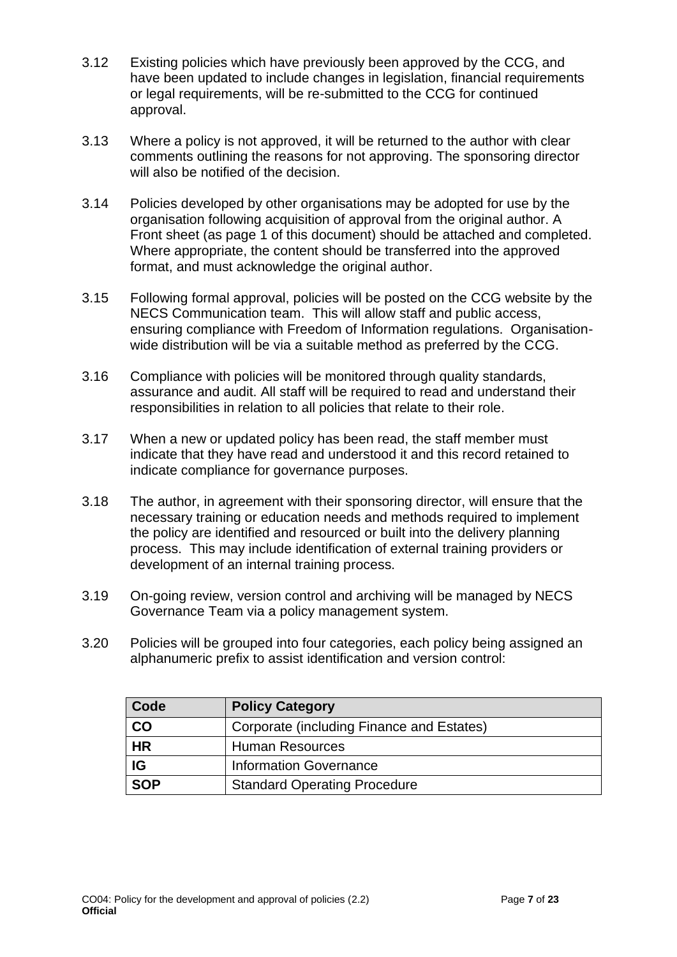- 3.12 Existing policies which have previously been approved by the CCG, and have been updated to include changes in legislation, financial requirements or legal requirements, will be re-submitted to the CCG for continued approval.
- 3.13 Where a policy is not approved, it will be returned to the author with clear comments outlining the reasons for not approving. The sponsoring director will also be notified of the decision.
- 3.14 Policies developed by other organisations may be adopted for use by the organisation following acquisition of approval from the original author. A Front sheet (as page 1 of this document) should be attached and completed. Where appropriate, the content should be transferred into the approved format, and must acknowledge the original author.
- 3.15 Following formal approval, policies will be posted on the CCG website by the NECS Communication team. This will allow staff and public access, ensuring compliance with Freedom of Information regulations. Organisationwide distribution will be via a suitable method as preferred by the CCG.
- 3.16 Compliance with policies will be monitored through quality standards, assurance and audit. All staff will be required to read and understand their responsibilities in relation to all policies that relate to their role.
- 3.17 When a new or updated policy has been read, the staff member must indicate that they have read and understood it and this record retained to indicate compliance for governance purposes.
- 3.18 The author, in agreement with their sponsoring director, will ensure that the necessary training or education needs and methods required to implement the policy are identified and resourced or built into the delivery planning process. This may include identification of external training providers or development of an internal training process.
- 3.19 On-going review, version control and archiving will be managed by NECS Governance Team via a policy management system.
- 3.20 Policies will be grouped into four categories, each policy being assigned an alphanumeric prefix to assist identification and version control:

| Code       | <b>Policy Category</b>                    |
|------------|-------------------------------------------|
| CO         | Corporate (including Finance and Estates) |
| <b>HR</b>  | <b>Human Resources</b>                    |
| IG         | <b>Information Governance</b>             |
| <b>SOP</b> | <b>Standard Operating Procedure</b>       |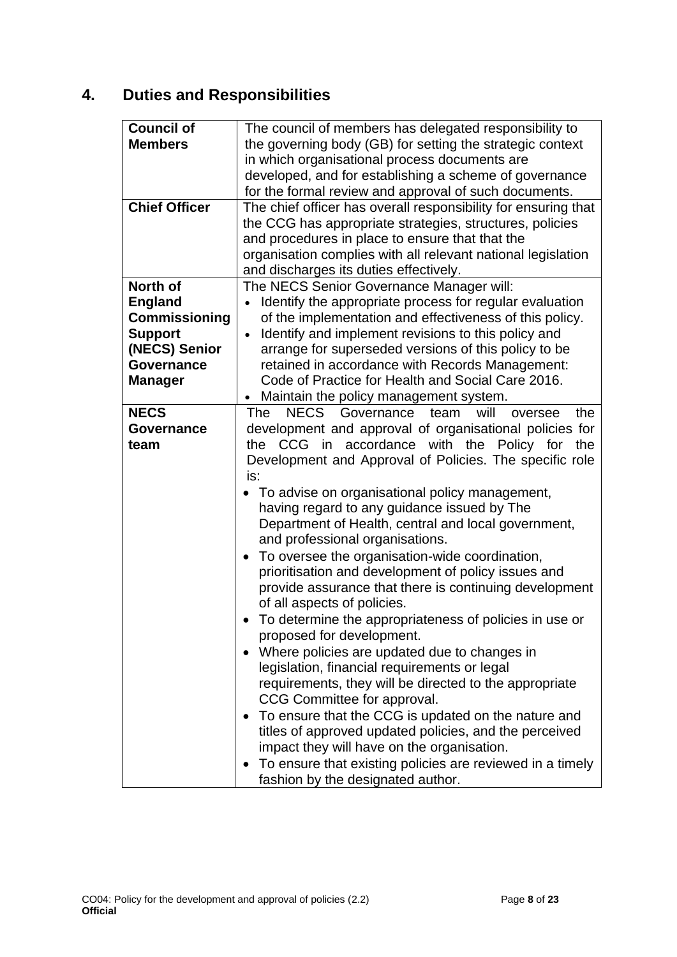# <span id="page-7-0"></span>**4. Duties and Responsibilities**

| <b>Council of</b>    | The council of members has delegated responsibility to                 |
|----------------------|------------------------------------------------------------------------|
| <b>Members</b>       | the governing body (GB) for setting the strategic context              |
|                      | in which organisational process documents are                          |
|                      | developed, and for establishing a scheme of governance                 |
|                      | for the formal review and approval of such documents.                  |
| <b>Chief Officer</b> | The chief officer has overall responsibility for ensuring that         |
|                      | the CCG has appropriate strategies, structures, policies               |
|                      | and procedures in place to ensure that that the                        |
|                      | organisation complies with all relevant national legislation           |
|                      | and discharges its duties effectively.                                 |
| North of             | The NECS Senior Governance Manager will:                               |
| <b>England</b>       | Identify the appropriate process for regular evaluation                |
| <b>Commissioning</b> |                                                                        |
|                      | of the implementation and effectiveness of this policy.                |
| <b>Support</b>       | Identify and implement revisions to this policy and<br>$\bullet$       |
| (NECS) Senior        | arrange for superseded versions of this policy to be                   |
| <b>Governance</b>    | retained in accordance with Records Management:                        |
| <b>Manager</b>       | Code of Practice for Health and Social Care 2016.                      |
|                      | Maintain the policy management system.                                 |
| <b>NECS</b>          | NECS Governance team<br>will<br>The<br>the<br>oversee                  |
| <b>Governance</b>    | development and approval of organisational policies for                |
| team                 | accordance<br>with the<br><b>CCG</b><br>in<br>Policy for<br>the<br>the |
|                      | Development and Approval of Policies. The specific role                |
|                      | is:                                                                    |
|                      | To advise on organisational policy management,                         |
|                      | having regard to any guidance issued by The                            |
|                      | Department of Health, central and local government,                    |
|                      | and professional organisations.                                        |
|                      | To oversee the organisation-wide coordination,                         |
|                      | prioritisation and development of policy issues and                    |
|                      | provide assurance that there is continuing development                 |
|                      | of all aspects of policies.                                            |
|                      | To determine the appropriateness of policies in use or                 |
|                      | proposed for development.                                              |
|                      | Where policies are updated due to changes in                           |
|                      | legislation, financial requirements or legal                           |
|                      | requirements, they will be directed to the appropriate                 |
|                      | CCG Committee for approval.                                            |
|                      | To ensure that the CCG is updated on the nature and                    |
|                      | titles of approved updated policies, and the perceived                 |
|                      | impact they will have on the organisation.                             |
|                      |                                                                        |
|                      | To ensure that existing policies are reviewed in a timely              |
|                      | fashion by the designated author.                                      |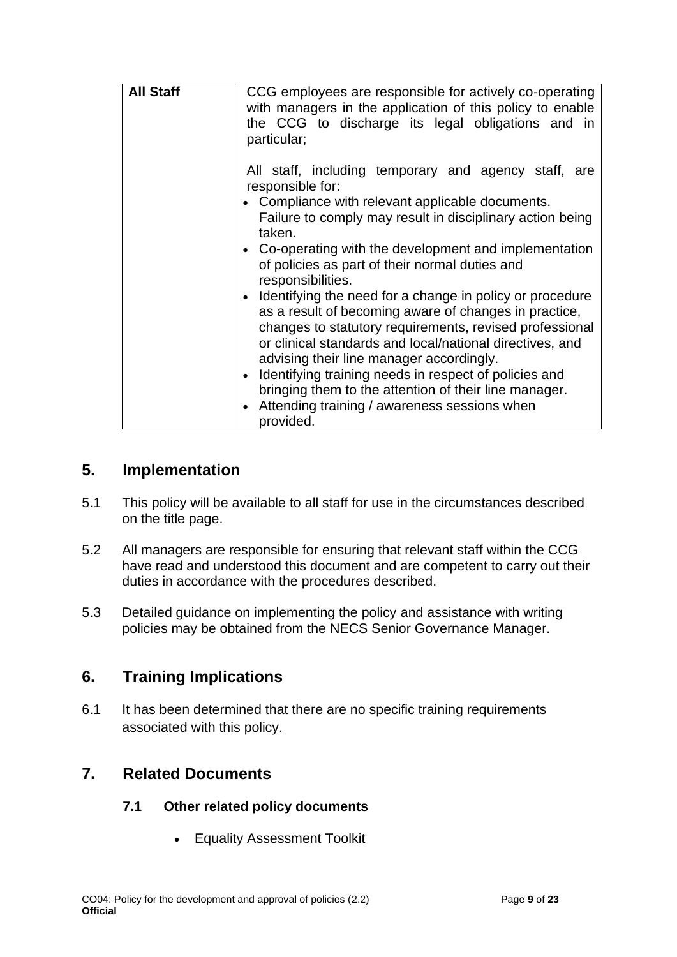| <b>All Staff</b> | CCG employees are responsible for actively co-operating<br>with managers in the application of this policy to enable<br>the CCG to discharge its legal obligations and in<br>particular;                                 |
|------------------|--------------------------------------------------------------------------------------------------------------------------------------------------------------------------------------------------------------------------|
|                  | All staff, including temporary and agency staff, are<br>responsible for:<br>• Compliance with relevant applicable documents.<br>Failure to comply may result in disciplinary action being                                |
|                  | taken.<br>• Co-operating with the development and implementation<br>of policies as part of their normal duties and<br>responsibilities.<br>• Identifying the need for a change in policy or procedure                    |
|                  | as a result of becoming aware of changes in practice,<br>changes to statutory requirements, revised professional<br>or clinical standards and local/national directives, and<br>advising their line manager accordingly. |
|                  | Identifying training needs in respect of policies and<br>$\bullet$<br>bringing them to the attention of their line manager.<br>• Attending training / awareness sessions when<br>provided.                               |

## <span id="page-8-0"></span>**5. Implementation**

- 5.1 This policy will be available to all staff for use in the circumstances described on the title page.
- 5.2 All managers are responsible for ensuring that relevant staff within the CCG have read and understood this document and are competent to carry out their duties in accordance with the procedures described.
- 5.3 Detailed guidance on implementing the policy and assistance with writing policies may be obtained from the NECS Senior Governance Manager.

## <span id="page-8-1"></span>**6. Training Implications**

6.1 It has been determined that there are no specific training requirements associated with this policy.

# <span id="page-8-2"></span>**7. Related Documents**

## **7.1 Other related policy documents**

• Equality Assessment Toolkit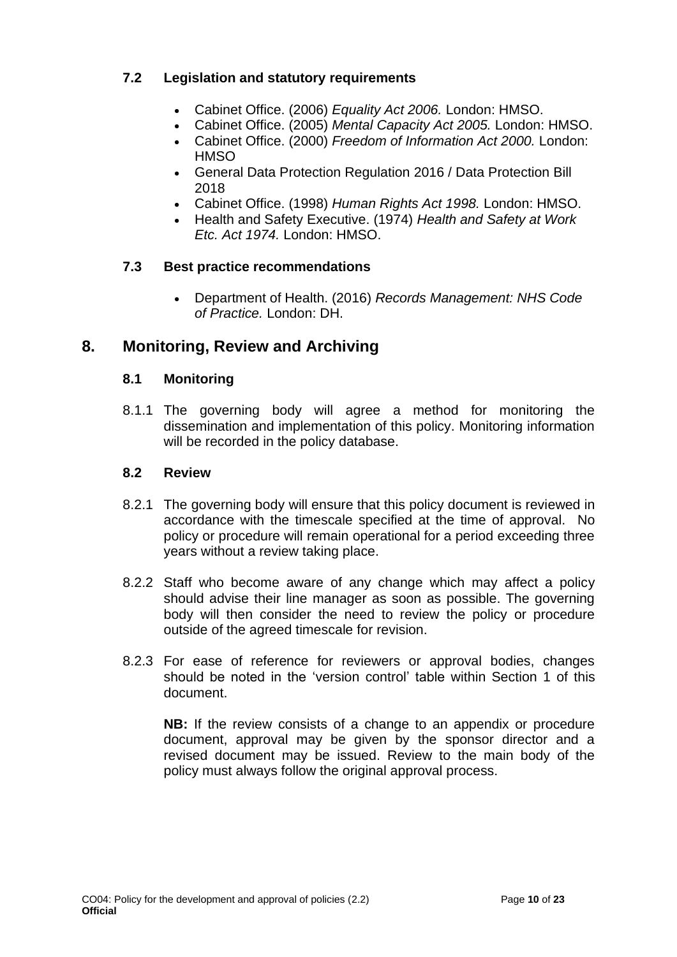## **7.2 Legislation and statutory requirements**

- Cabinet Office. (2006) *Equality Act 2006.* London: HMSO.
- Cabinet Office. (2005) *Mental Capacity Act 2005.* London: HMSO.
- Cabinet Office. (2000) *Freedom of Information Act 2000.* London: **HMSO**
- General Data Protection Regulation 2016 / Data Protection Bill 2018
- Cabinet Office. (1998) *Human Rights Act 1998.* London: HMSO.
- Health and Safety Executive. (1974) *Health and Safety at Work Etc. Act 1974.* London: HMSO.

## **7.3 Best practice recommendations**

• Department of Health. (2016) *Records Management: NHS Code of Practice.* London: DH.

# <span id="page-9-0"></span>**8. Monitoring, Review and Archiving**

## **8.1 Monitoring**

8.1.1 The governing body will agree a method for monitoring the dissemination and implementation of this policy. Monitoring information will be recorded in the policy database.

## **8.2 Review**

- 8.2.1 The governing body will ensure that this policy document is reviewed in accordance with the timescale specified at the time of approval. No policy or procedure will remain operational for a period exceeding three years without a review taking place.
- 8.2.2 Staff who become aware of any change which may affect a policy should advise their line manager as soon as possible. The governing body will then consider the need to review the policy or procedure outside of the agreed timescale for revision.
- 8.2.3 For ease of reference for reviewers or approval bodies, changes should be noted in the 'version control' table within Section 1 of this document.

**NB:** If the review consists of a change to an appendix or procedure document, approval may be given by the sponsor director and a revised document may be issued. Review to the main body of the policy must always follow the original approval process.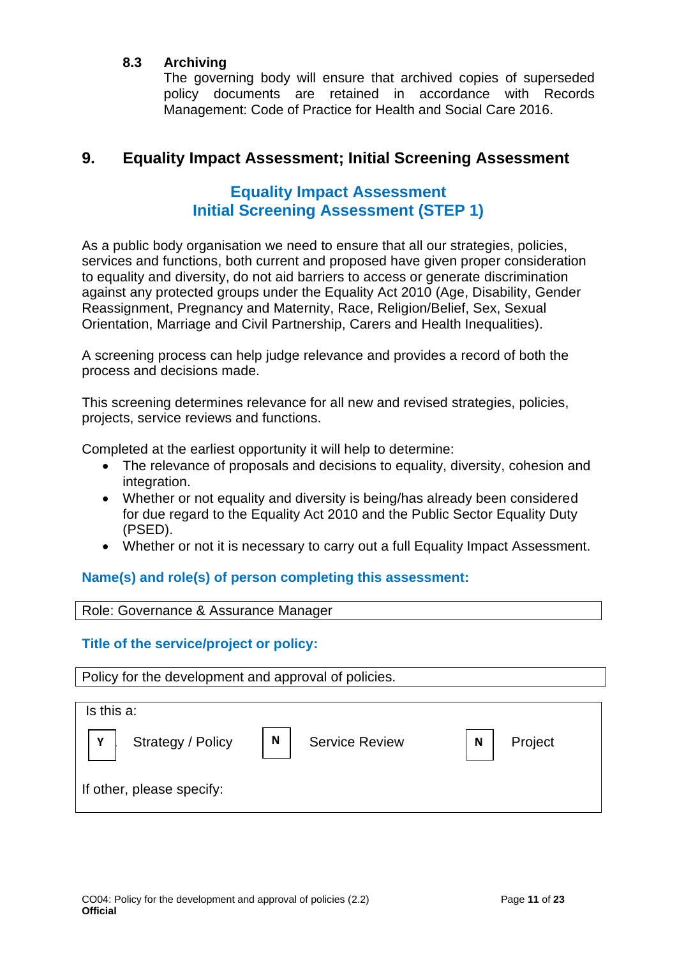### **8.3 Archiving**

The governing body will ensure that archived copies of superseded policy documents are retained in accordance with Records Management: Code of Practice for Health and Social Care 2016.

## <span id="page-10-0"></span>**9. Equality Impact Assessment; Initial Screening Assessment**

# **Equality Impact Assessment Initial Screening Assessment (STEP 1)**

<span id="page-10-1"></span>As a public body organisation we need to ensure that all our strategies, policies, services and functions, both current and proposed have given proper consideration to equality and diversity, do not aid barriers to access or generate discrimination against any protected groups under the Equality Act 2010 (Age, Disability, Gender Reassignment, Pregnancy and Maternity, Race, Religion/Belief, Sex, Sexual Orientation, Marriage and Civil Partnership, Carers and Health Inequalities).

A screening process can help judge relevance and provides a record of both the process and decisions made.

This screening determines relevance for all new and revised strategies, policies, projects, service reviews and functions.

Completed at the earliest opportunity it will help to determine:

- The relevance of proposals and decisions to equality, diversity, cohesion and integration.
- Whether or not equality and diversity is being/has already been considered for due regard to the Equality Act 2010 and the Public Sector Equality Duty (PSED).
- Whether or not it is necessary to carry out a full Equality Impact Assessment.

**Name(s) and role(s) of person completing this assessment:** 

### Role: Governance & Assurance Manager

### **Title of the service/project or policy:**

Policy for the development and approval of policies.

| Is this a:                |   |                       |   |         |  |
|---------------------------|---|-----------------------|---|---------|--|
| Strategy / Policy<br>Υ    | N | <b>Service Review</b> | N | Project |  |
| If other, please specify: |   |                       |   |         |  |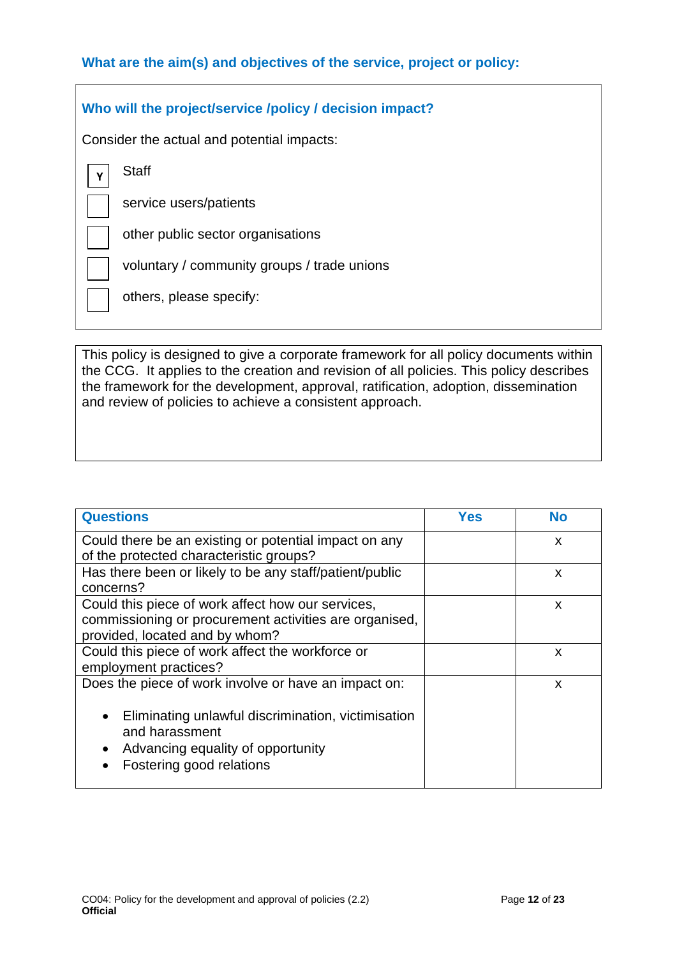## **What are the aim(s) and objectives of the service, project or policy:**

### **Who will the project/service /policy / decision impact?**

Consider the actual and potential impacts:

**Staff Y**

service users/patients

other public sector organisations

voluntary / community groups / trade unions

others, please specify:

This policy is designed to give a corporate framework for all policy documents within the CCG. It applies to the creation and revision of all policies. This policy describes the framework for the development, approval, ratification, adoption, dissemination and review of policies to achieve a consistent approach.

| <b>Questions</b>                                                                                                                                   | Yes | <b>No</b> |
|----------------------------------------------------------------------------------------------------------------------------------------------------|-----|-----------|
| Could there be an existing or potential impact on any                                                                                              |     | X         |
| of the protected characteristic groups?                                                                                                            |     |           |
| Has there been or likely to be any staff/patient/public<br>concerns?                                                                               |     | X         |
| Could this piece of work affect how our services,                                                                                                  |     | X         |
| commissioning or procurement activities are organised,                                                                                             |     |           |
| provided, located and by whom?                                                                                                                     |     |           |
| Could this piece of work affect the workforce or                                                                                                   |     | X         |
| employment practices?                                                                                                                              |     |           |
| Does the piece of work involve or have an impact on:                                                                                               |     | X         |
| Eliminating unlawful discrimination, victimisation<br>and harassment<br>Advancing equality of opportunity<br>$\bullet$<br>Fostering good relations |     |           |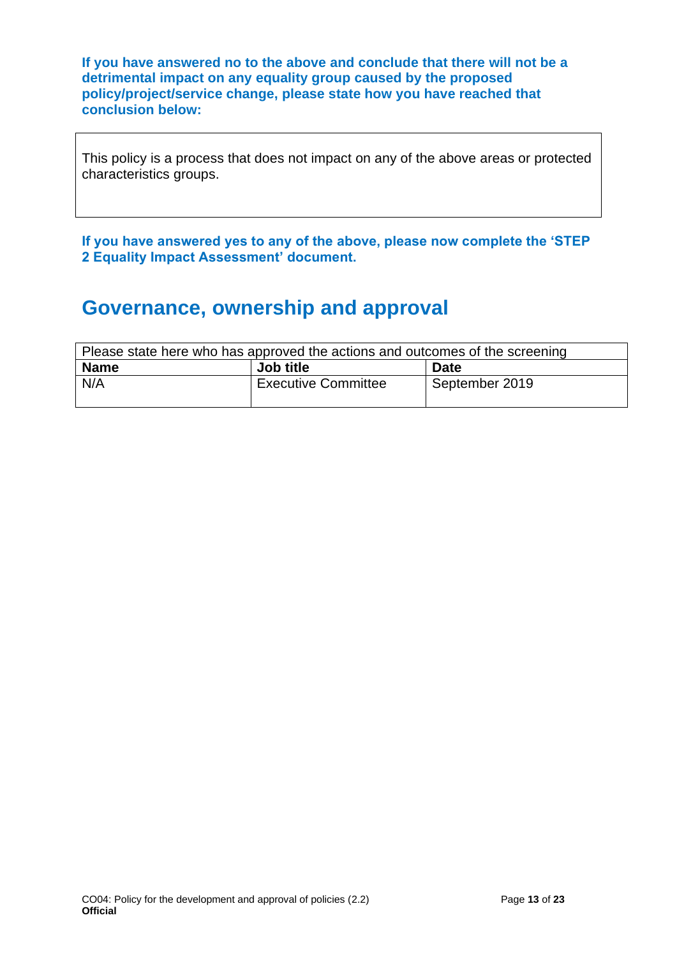**If you have answered no to the above and conclude that there will not be a detrimental impact on any equality group caused by the proposed policy/project/service change, please state how you have reached that conclusion below:** 

This policy is a process that does not impact on any of the above areas or protected characteristics groups.

**If you have answered yes to any of the above, please now complete the 'STEP 2 Equality Impact Assessment' document.**

# **Governance, ownership and approval**

| Please state here who has approved the actions and outcomes of the screening |                            |                |
|------------------------------------------------------------------------------|----------------------------|----------------|
| <b>Name</b>                                                                  | Job title                  | <b>Date</b>    |
| N/A                                                                          | <b>Executive Committee</b> | September 2019 |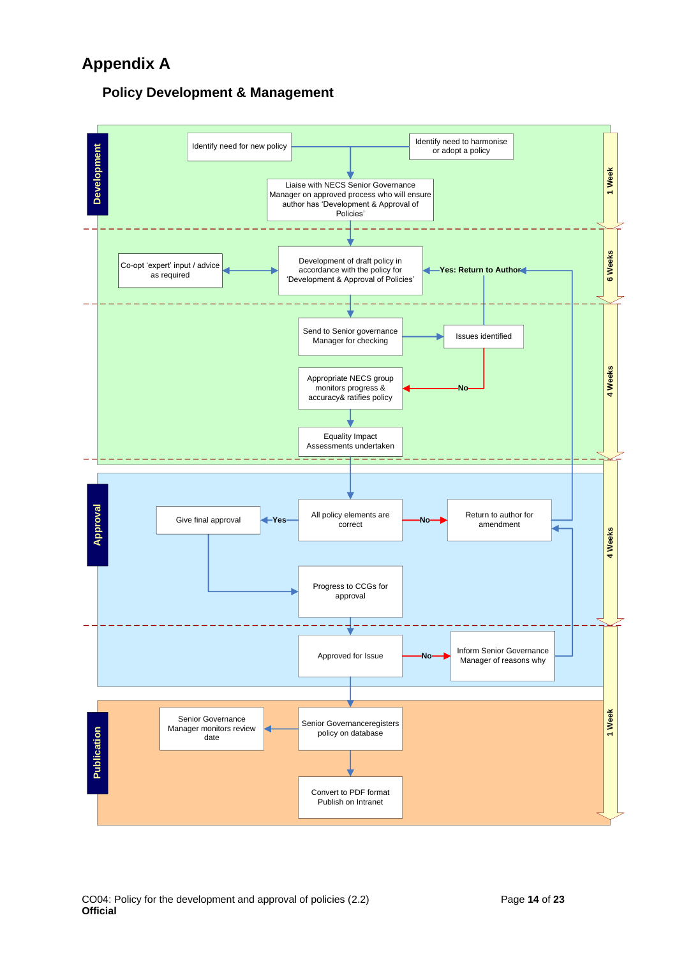# **Appendix A**

## **Policy Development & Management**

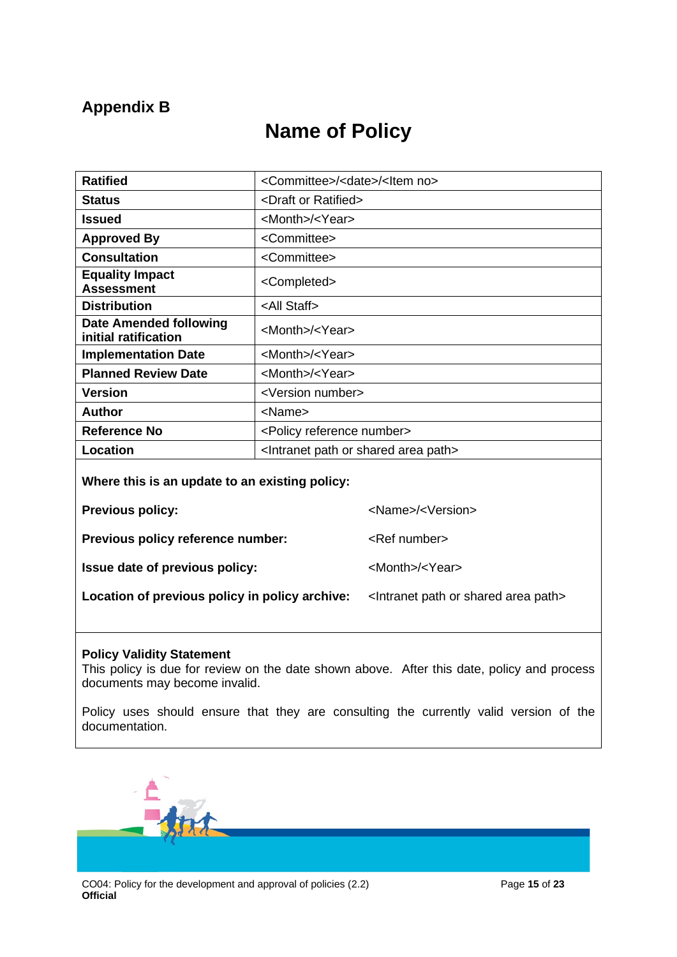# <span id="page-14-0"></span>**Appendix B**

# **Name of Policy**

| <b>Ratified</b>                                | <committee>/<date>/<ltem no=""></ltem></date></committee> |
|------------------------------------------------|-----------------------------------------------------------|
| <b>Status</b>                                  | <draft or="" ratified=""></draft>                         |
| <b>Issued</b>                                  | <month>/<year></year></month>                             |
| <b>Approved By</b>                             | <committee></committee>                                   |
| <b>Consultation</b>                            | <committee></committee>                                   |
| <b>Equality Impact</b><br><b>Assessment</b>    | <completed></completed>                                   |
| <b>Distribution</b>                            | <all staff=""></all>                                      |
| Date Amended following<br>initial ratification | <month>/<year></year></month>                             |
| <b>Implementation Date</b>                     | <month>/<year></year></month>                             |
| <b>Planned Review Date</b>                     | <month>/<year></year></month>                             |
| <b>Version</b>                                 | <version number=""></version>                             |
| <b>Author</b>                                  | <name></name>                                             |
| <b>Reference No</b>                            | <policy number="" reference=""></policy>                  |
| Location                                       | <lntranet area="" or="" path="" shared=""></lntranet>     |
|                                                |                                                           |

### **Where this is an update to an existing policy:**

**Previous policy:**  $\leq Name$   $\leq$   $\leq$   $\leq$   $\leq$   $\leq$   $\leq$   $\leq$   $\leq$   $\leq$   $\leq$   $\leq$   $\leq$   $\leq$   $\leq$   $\leq$   $\leq$   $\leq$   $\leq$   $\leq$   $\leq$   $\leq$   $\leq$   $\leq$   $\leq$  

**Previous policy reference number:** <Ref number>

**Issue date of previous policy:**  $\langle$ Month>/<Year>

**Location of previous policy in policy archive:** < Intranet path or shared area path>

#### **Policy Validity Statement**

This policy is due for review on the date shown above. After this date, policy and process documents may become invalid.

Policy uses should ensure that they are consulting the currently valid version of the documentation.

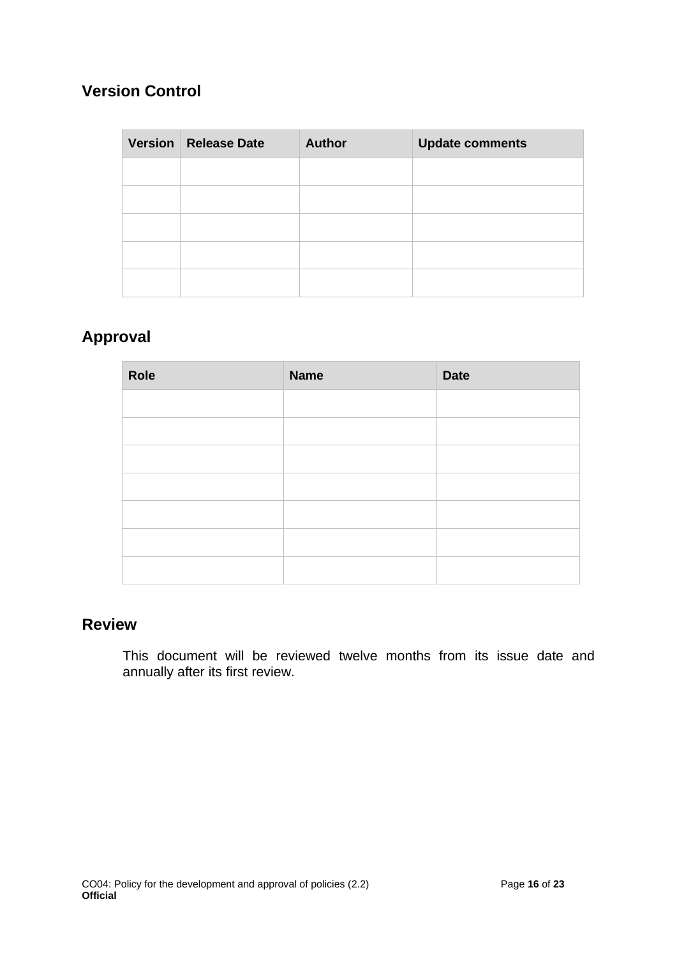# **Version Control**

| Version Release Date | <b>Author</b> | <b>Update comments</b> |
|----------------------|---------------|------------------------|
|                      |               |                        |
|                      |               |                        |
|                      |               |                        |
|                      |               |                        |
|                      |               |                        |

# **Approval**

| Role | <b>Name</b> | <b>Date</b> |
|------|-------------|-------------|
|      |             |             |
|      |             |             |
|      |             |             |
|      |             |             |
|      |             |             |
|      |             |             |
|      |             |             |

# **Review**

This document will be reviewed twelve months from its issue date and annually after its first review.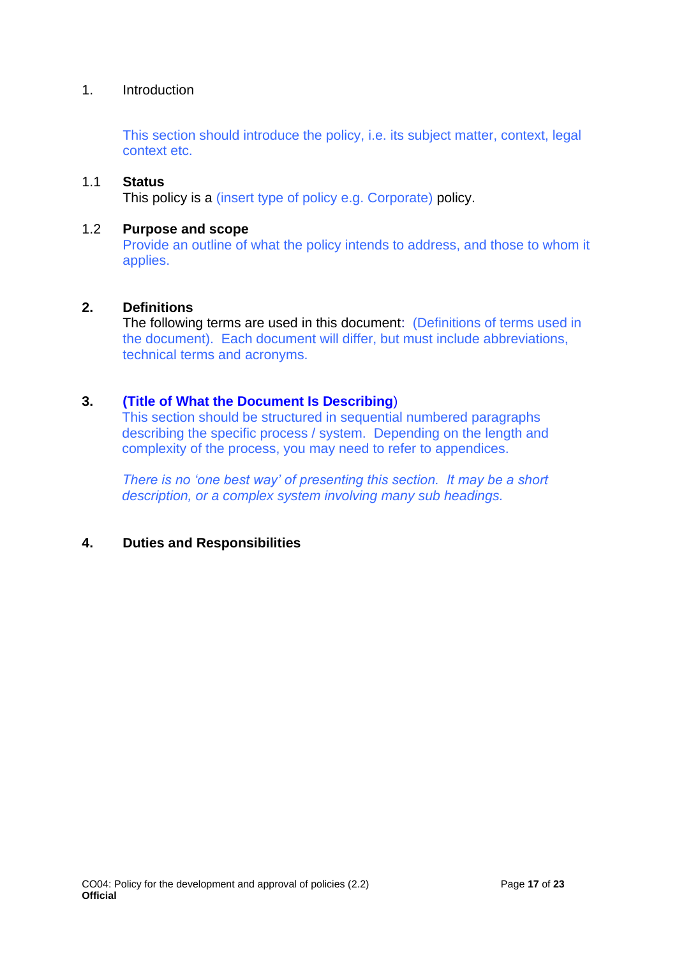### 1. Introduction

This section should introduce the policy, i.e. its subject matter, context, legal context etc.

### 1.1 **Status**

This policy is a (insert type of policy e.g. Corporate) policy.

#### 1.2 **Purpose and scope**

Provide an outline of what the policy intends to address, and those to whom it applies.

### **2. Definitions**

The following terms are used in this document: (Definitions of terms used in the document). Each document will differ, but must include abbreviations, technical terms and acronyms.

### **3. (Title of What the Document Is Describing**)

This section should be structured in sequential numbered paragraphs describing the specific process / system. Depending on the length and complexity of the process, you may need to refer to appendices.

*There is no 'one best way' of presenting this section. It may be a short description, or a complex system involving many sub headings.* 

### **4. Duties and Responsibilities**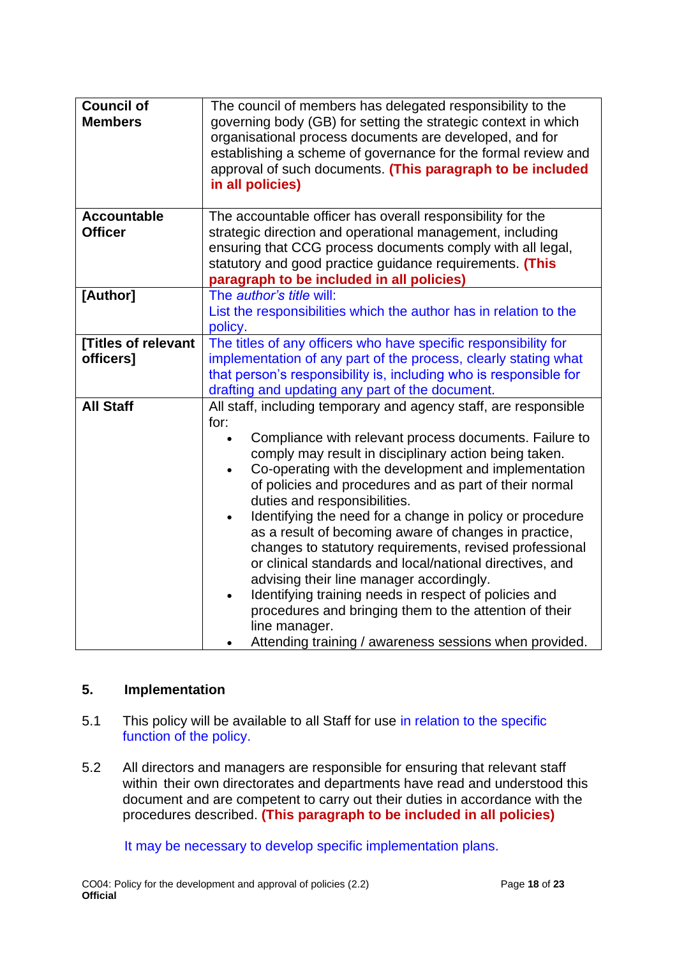| <b>Council of</b><br><b>Members</b>  | The council of members has delegated responsibility to the<br>governing body (GB) for setting the strategic context in which<br>organisational process documents are developed, and for<br>establishing a scheme of governance for the formal review and<br>approval of such documents. (This paragraph to be included<br>in all policies)                                                                                                                                                                                                                                                                                                                                                                                                                                                                                                                    |
|--------------------------------------|---------------------------------------------------------------------------------------------------------------------------------------------------------------------------------------------------------------------------------------------------------------------------------------------------------------------------------------------------------------------------------------------------------------------------------------------------------------------------------------------------------------------------------------------------------------------------------------------------------------------------------------------------------------------------------------------------------------------------------------------------------------------------------------------------------------------------------------------------------------|
| <b>Accountable</b><br><b>Officer</b> | The accountable officer has overall responsibility for the<br>strategic direction and operational management, including<br>ensuring that CCG process documents comply with all legal,<br>statutory and good practice guidance requirements. (This<br>paragraph to be included in all policies)                                                                                                                                                                                                                                                                                                                                                                                                                                                                                                                                                                |
| [Author]                             | The <i>author's title</i> will:<br>List the responsibilities which the author has in relation to the<br>policy.                                                                                                                                                                                                                                                                                                                                                                                                                                                                                                                                                                                                                                                                                                                                               |
| [Titles of relevant<br>officers]     | The titles of any officers who have specific responsibility for<br>implementation of any part of the process, clearly stating what<br>that person's responsibility is, including who is responsible for<br>drafting and updating any part of the document.                                                                                                                                                                                                                                                                                                                                                                                                                                                                                                                                                                                                    |
| <b>All Staff</b>                     | All staff, including temporary and agency staff, are responsible<br>for:<br>Compliance with relevant process documents. Failure to<br>comply may result in disciplinary action being taken.<br>Co-operating with the development and implementation<br>$\bullet$<br>of policies and procedures and as part of their normal<br>duties and responsibilities.<br>Identifying the need for a change in policy or procedure<br>as a result of becoming aware of changes in practice,<br>changes to statutory requirements, revised professional<br>or clinical standards and local/national directives, and<br>advising their line manager accordingly.<br>Identifying training needs in respect of policies and<br>$\bullet$<br>procedures and bringing them to the attention of their<br>line manager.<br>Attending training / awareness sessions when provided. |

## **5. Implementation**

- 5.1 This policy will be available to all Staff for use in relation to the specific function of the policy.
- 5.2 All directors and managers are responsible for ensuring that relevant staff within their own directorates and departments have read and understood this document and are competent to carry out their duties in accordance with the procedures described. **(This paragraph to be included in all policies)**

It may be necessary to develop specific implementation plans.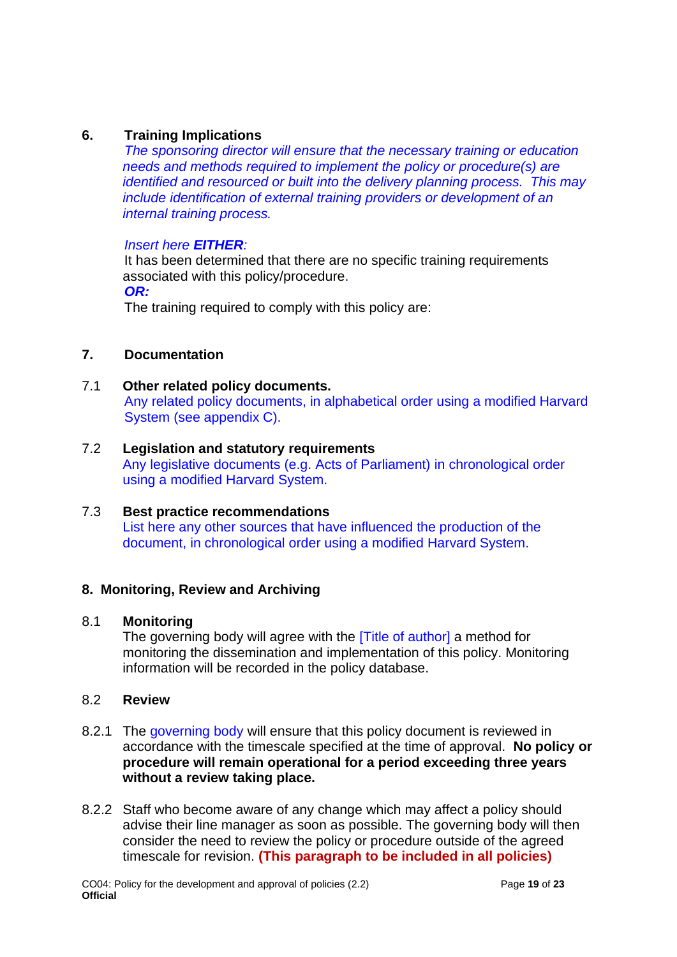## **6. Training Implications**

*The sponsoring director will ensure that the necessary training or education needs and methods required to implement the policy or procedure(s) are identified and resourced or built into the delivery planning process. This may include identification of external training providers or development of an internal training process.*

### *Insert here EITHER:*

It has been determined that there are no specific training requirements associated with this policy/procedure.

*OR:*

The training required to comply with this policy are:

## **7. Documentation**

7.1 **Other related policy documents.** Any related policy documents, in alphabetical order using a modified Harvard System (see appendix C).

### 7.2 **Legislation and statutory requirements** Any legislative documents (e.g. Acts of Parliament) in chronological order using a modified Harvard System.

### 7.3 **Best practice recommendations** List here any other sources that have influenced the production of the document, in chronological order using a modified Harvard System.

### **8. Monitoring, Review and Archiving**

### 8.1 **Monitoring**

The governing body will agree with the **Title of author** a method for monitoring the dissemination and implementation of this policy. Monitoring information will be recorded in the policy database.

### 8.2 **Review**

- 8.2.1 The governing body will ensure that this policy document is reviewed in accordance with the timescale specified at the time of approval. **No policy or procedure will remain operational for a period exceeding three years without a review taking place.**
- 8.2.2 Staff who become aware of any change which may affect a policy should advise their line manager as soon as possible. The governing body will then consider the need to review the policy or procedure outside of the agreed timescale for revision. **(This paragraph to be included in all policies)**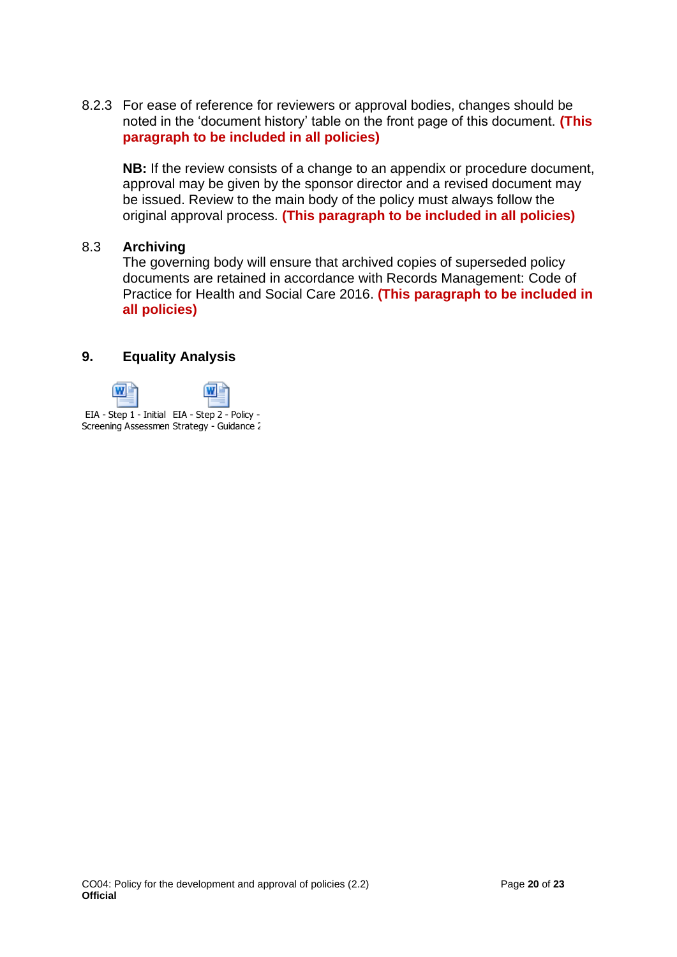8.2.3 For ease of reference for reviewers or approval bodies, changes should be noted in the 'document history' table on the front page of this document. **(This paragraph to be included in all policies)**

**NB:** If the review consists of a change to an appendix or procedure document, approval may be given by the sponsor director and a revised document may be issued. Review to the main body of the policy must always follow the original approval process. **(This paragraph to be included in all policies)**

### 8.3 **Archiving**

The governing body will ensure that archived copies of superseded policy documents are retained in accordance with Records Management: Code of Practice for Health and Social Care 2016. **(This paragraph to be included in all policies)**

### **9. Equality Analysis**

<span id="page-19-0"></span>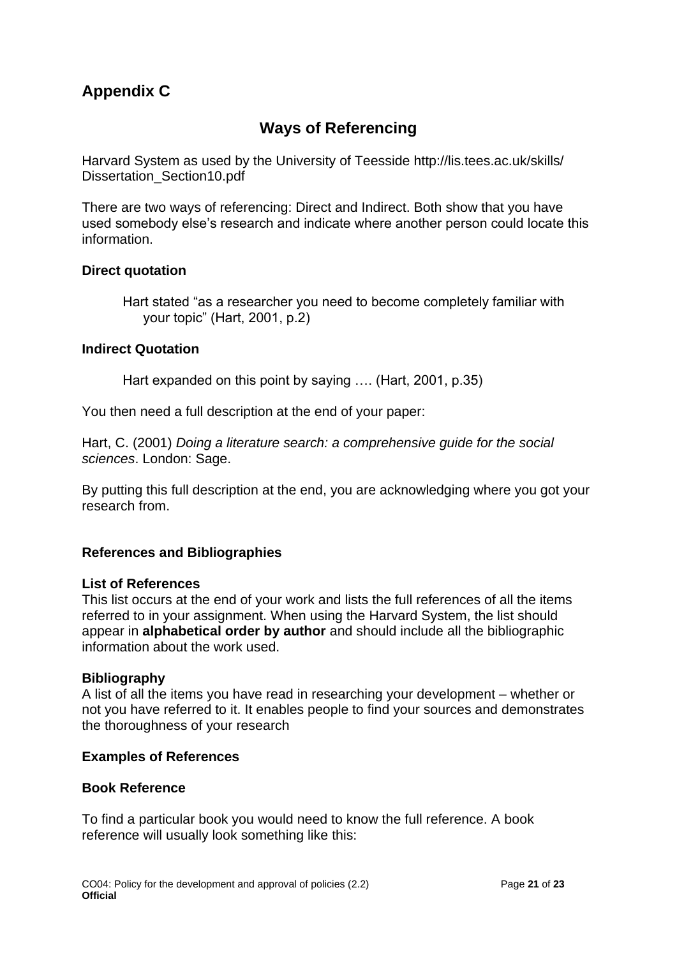# **Appendix C**

## **Ways of Referencing**

Harvard System as used by the University of Teesside http://lis.tees.ac.uk/skills/ Dissertation\_Section10.pdf

There are two ways of referencing: Direct and Indirect. Both show that you have used somebody else's research and indicate where another person could locate this information.

### **Direct quotation**

Hart stated "as a researcher you need to become completely familiar with your topic" (Hart, 2001, p.2)

### **Indirect Quotation**

Hart expanded on this point by saying …. (Hart, 2001, p.35)

You then need a full description at the end of your paper:

Hart, C. (2001) *Doing a literature search: a comprehensive guide for the social sciences*. London: Sage.

By putting this full description at the end, you are acknowledging where you got your research from.

### **References and Bibliographies**

#### **List of References**

This list occurs at the end of your work and lists the full references of all the items referred to in your assignment. When using the Harvard System, the list should appear in **alphabetical order by author** and should include all the bibliographic information about the work used.

#### **Bibliography**

A list of all the items you have read in researching your development – whether or not you have referred to it. It enables people to find your sources and demonstrates the thoroughness of your research

#### **Examples of References**

#### **Book Reference**

To find a particular book you would need to know the full reference. A book reference will usually look something like this: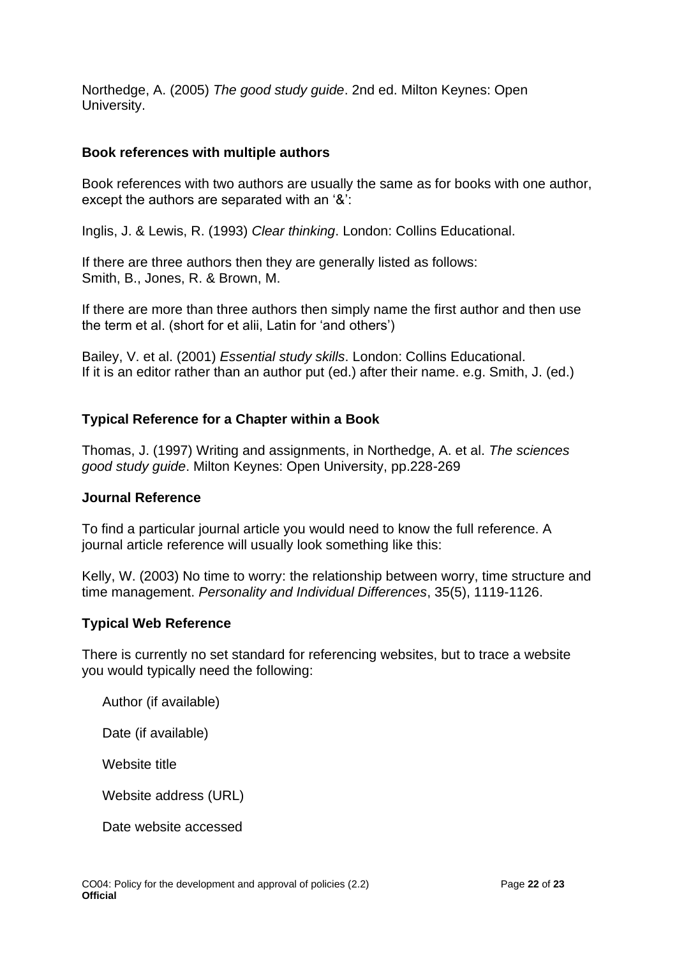Northedge, A. (2005) *The good study guide*. 2nd ed. Milton Keynes: Open University.

### **Book references with multiple authors**

Book references with two authors are usually the same as for books with one author, except the authors are separated with an '&':

Inglis, J. & Lewis, R. (1993) *Clear thinking*. London: Collins Educational.

If there are three authors then they are generally listed as follows: Smith, B., Jones, R. & Brown, M.

If there are more than three authors then simply name the first author and then use the term et al. (short for et alii, Latin for 'and others')

Bailey, V. et al. (2001) *Essential study skills*. London: Collins Educational. If it is an editor rather than an author put (ed.) after their name. e.g. Smith, J. (ed.)

### **Typical Reference for a Chapter within a Book**

Thomas, J. (1997) Writing and assignments, in Northedge, A. et al. *The sciences good study guide*. Milton Keynes: Open University, pp.228-269

### **Journal Reference**

To find a particular journal article you would need to know the full reference. A journal article reference will usually look something like this:

Kelly, W. (2003) No time to worry: the relationship between worry, time structure and time management. *Personality and Individual Differences*, 35(5), 1119-1126.

### **Typical Web Reference**

There is currently no set standard for referencing websites, but to trace a website you would typically need the following:

Author (if available)

Date (if available)

Website title

Website address (URL)

Date website accessed